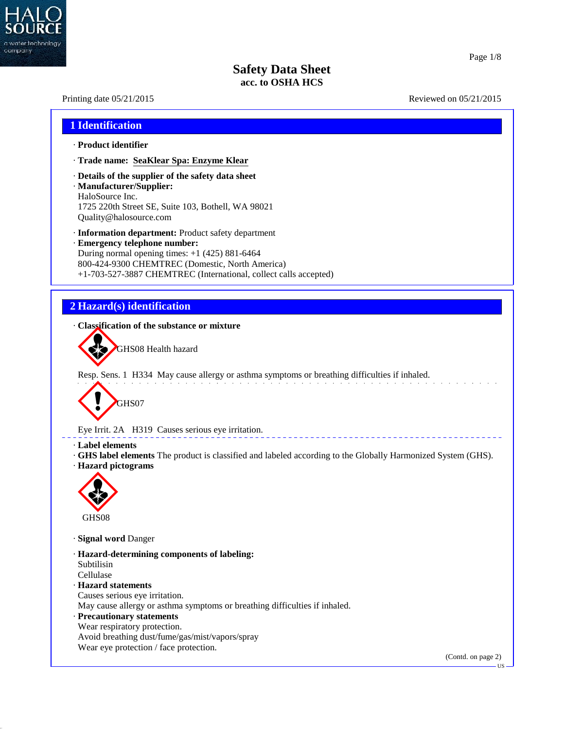

40.2.7

#### Page 1/8

US

## **Safety Data Sheet acc. to OSHA HCS**

# Printing date  $05/21/2015$  Reviewed on  $05/21/2015$ **1 Identification** · **Product identifier** · **Trade name: SeaKlear Spa: Enzyme Klear** · **Details of the supplier of the safety data sheet** · **Manufacturer/Supplier:** HaloSource Inc. 1725 220th Street SE, Suite 103, Bothell, WA 98021 Quality@halosource.com · **Information department:** Product safety department · **Emergency telephone number:** During normal opening times: +1 (425) 881-6464 800-424-9300 CHEMTREC (Domestic, North America) +1-703-527-3887 CHEMTREC (International, collect calls accepted) **2 Hazard(s) identification** · **Classification of the substance or mixture** GHS08 Health hazard Resp. Sens. 1 H334 May cause allergy or asthma symptoms or breathing difficulties if inhaled. GHS07 Eye Irrit. 2A H319 Causes serious eye irritation. · **Label elements** · **GHS label elements** The product is classified and labeled according to the Globally Harmonized System (GHS). · **Hazard pictograms Contract of the Contract of the Contract of the Contract of the Contract of the Contract of the Contract of the Contract of the Contract of the Contract of the Contract of the Contract of the Contract of the Contract of t** GHS08 · **Signal word** Danger · **Hazard-determining components of labeling:** Subtilisin Cellulase · **Hazard statements** Causes serious eye irritation. May cause allergy or asthma symptoms or breathing difficulties if inhaled. · **Precautionary statements** Wear respiratory protection. Avoid breathing dust/fume/gas/mist/vapors/spray Wear eye protection / face protection. (Contd. on page 2)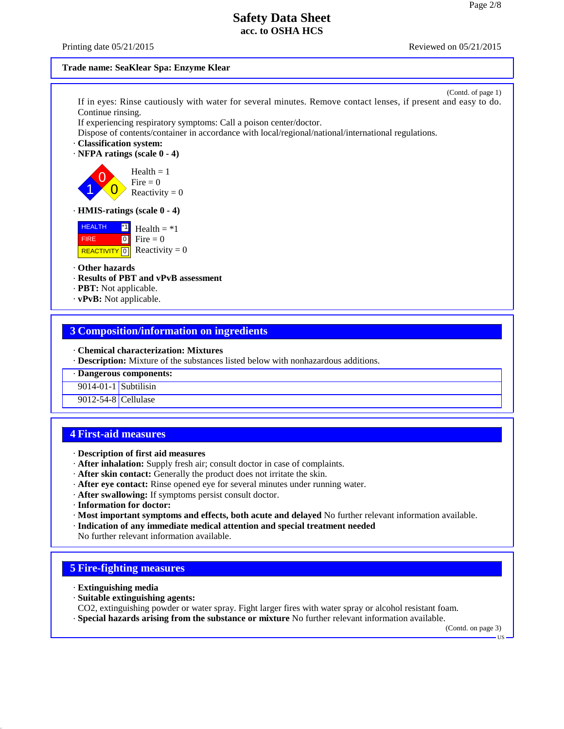Printing date  $05/21/2015$  Reviewed on  $05/21/2015$ 

#### **Trade name: SeaKlear Spa: Enzyme Klear**

(Contd. of page 1) If in eyes: Rinse cautiously with water for several minutes. Remove contact lenses, if present and easy to do. Continue rinsing.

If experiencing respiratory symptoms: Call a poison center/doctor.

Dispose of contents/container in accordance with local/regional/national/international regulations.

- · **Classification system:**
- · **NFPA ratings (scale 0 - 4)**

 $\left| \begin{array}{c} 1 \\ 0 \end{array} \right|$  Reactivity = 0  $\begin{array}{c} \text{Area} \\ \text{Fire} = 0 \end{array}$  $Health = 1$ 

#### · **HMIS-ratings (scale 0 - 4)**

 HEALTH FIRE REACTIVITY  $\boxed{0}$  Reactivity = 0  $\mathbf{H}$  Health = \*1  $\bullet$  Fire = 0

#### · **Other hazards**

- · **Results of PBT and vPvB assessment**
- · **PBT:** Not applicable.
- · **vPvB:** Not applicable.

#### **3 Composition/information on ingredients**

· **Chemical characterization: Mixtures**

· **Description:** Mixture of the substances listed below with nonhazardous additions.

· **Dangerous components:**

9014-01-1 Subtilisin

9012-54-8 Cellulase

## **4 First-aid measures**

- · **Description of first aid measures**
- · **After inhalation:** Supply fresh air;consult doctor in case of complaints.
- · **After skin contact:** Generally the product does not irritate the skin.
- · **After eye contact:** Rinse opened eye for several minutes under running water.
- · **After swallowing:** If symptoms persist consult doctor.
- · **Information for doctor:**
- · **Most important symptoms and effects, both acute and delayed** No further relevant information available.
- · **Indication of any immediate medical attention and special treatment needed**

No further relevant information available.

### **5 Fire-fighting measures**

· **Extinguishing media**

40.2.7

- · **Suitable extinguishing agents:**
- CO2, extinguishing powder or water spray. Fight larger fires with water spray or alcohol resistant foam.
- · **Special hazards arising from the substance or mixture** No further relevant information available.

(Contd. on page 3)

US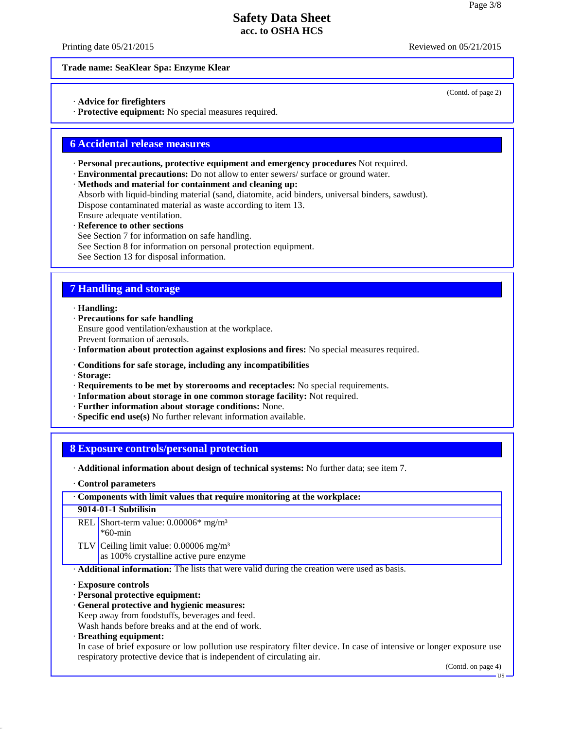Printing date  $05/21/2015$  Reviewed on  $05/21/2015$ 

(Contd. of page 2)

#### **Trade name: SeaKlear Spa: Enzyme Klear**

· **Advice for firefighters**

· **Protective equipment:** No special measures required.

## **6 Accidental release measures**

- · **Personal precautions, protective equipment and emergency procedures** Not required.
- · **Environmental precautions:** Do not allow to enter sewers/ surface or ground water.
- · **Methods and material for containment and cleaning up:**
- Absorb with liquid-binding material (sand, diatomite, acid binders, universal binders, sawdust). Dispose contaminated material as waste according to item 13.
- Ensure adequate ventilation.
- · **Reference to other sections**
- See Section 7 for information on safe handling.
- See Section 8 for information on personal protection equipment.

See Section 13 for disposal information.

## **7 Handling and storage**

· **Handling:**

· **Precautions for safe handling**

Ensure good ventilation/exhaustion at the workplace.

Prevent formation of aerosols.

· **Information about protection against explosions and fires:** No special measures required.

- · **Conditions for safe storage, including any incompatibilities**
- · **Storage:**

40.2.7

- · **Requirements to be met by storerooms and receptacles:** No special requirements.
- · **Information about storage in one common storage facility:** Not required.
- · **Further information about storage conditions:** None.
- · **Specific end use(s)** No further relevant information available.

## **8 Exposure controls/personal protection**

- · **Additional information about design of technical systems:** No further data; see item 7.
- · **Control parameters**

| Components with limit values that require monitoring at the workplace:                    |                                                                                                                       |  |  |  |
|-------------------------------------------------------------------------------------------|-----------------------------------------------------------------------------------------------------------------------|--|--|--|
| 9014-01-1 Subtilisin                                                                      |                                                                                                                       |  |  |  |
|                                                                                           | REL Short-term value: $0.00006*$ mg/m <sup>3</sup>                                                                    |  |  |  |
|                                                                                           | $*60$ -min                                                                                                            |  |  |  |
|                                                                                           | TLV Ceiling limit value: $0.00006$ mg/m <sup>3</sup>                                                                  |  |  |  |
|                                                                                           | as 100% crystalline active pure enzyme                                                                                |  |  |  |
| Additional information: The lists that were valid during the creation were used as basis. |                                                                                                                       |  |  |  |
| <b>Exposure controls</b>                                                                  |                                                                                                                       |  |  |  |
|                                                                                           | · Personal protective equipment:                                                                                      |  |  |  |
| · General protective and hygienic measures:                                               |                                                                                                                       |  |  |  |
|                                                                                           | Keep away from foodstuffs, beverages and feed.                                                                        |  |  |  |
|                                                                                           | Wash hands before breaks and at the end of work.                                                                      |  |  |  |
|                                                                                           | $\cdot$ Breathing equipment:                                                                                          |  |  |  |
|                                                                                           | In case of brief exposure or low pollution use respiratory filter device. In case of intensive or longer exposure use |  |  |  |
|                                                                                           | respiratory protective device that is independent of circulating air.                                                 |  |  |  |

US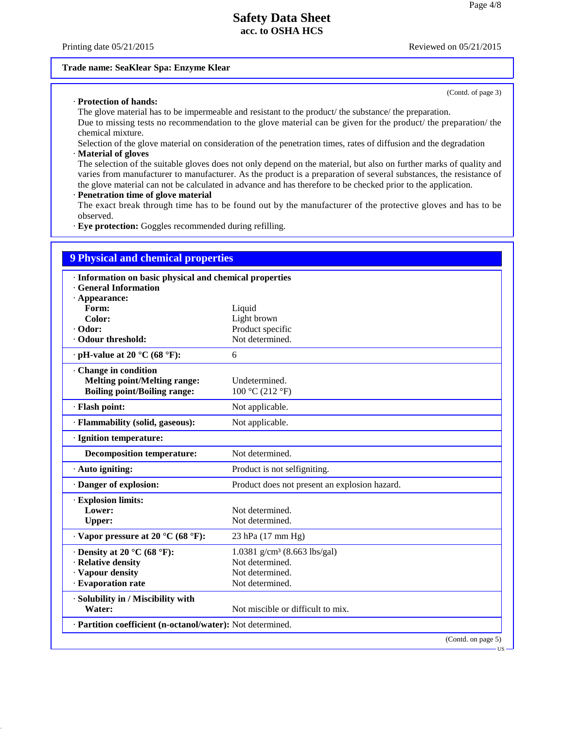Printing date  $0.05/21/2015$  Reviewed on  $0.05/21/2015$ 

(Contd. of page 3)

#### **Trade name: SeaKlear Spa: Enzyme Klear**

#### · **Protection of hands:**

The glove material has to be impermeable and resistant to the product/ the substance/ the preparation.

Due to missing tests no recommendation to the glove material can be given for the product/ the preparation/ the chemical mixture.

Selection of the glove material on consideration of the penetration times, rates of diffusion and the degradation · **Material of gloves**

40.2.7

The selection of the suitable gloves does not only depend on the material, but also on further marks of quality and varies from manufacturer to manufacturer. As the product is a preparation of several substances, the resistance of the glove material can not be calculated in advance and has therefore to be checked prior to the application.

#### · **Penetration time of glove material**

The exact break through time has to be found out by the manufacturer of the protective gloves and has to be observed.

· **Eye protection:** Goggles recommended during refilling.

| <b>9 Physical and chemical properties</b>                  |                                               |  |  |  |  |
|------------------------------------------------------------|-----------------------------------------------|--|--|--|--|
| · Information on basic physical and chemical properties    |                                               |  |  |  |  |
| <b>General Information</b>                                 |                                               |  |  |  |  |
| $\cdot$ Appearance:                                        |                                               |  |  |  |  |
| Form:                                                      | Liquid                                        |  |  |  |  |
| Color:                                                     | Light brown                                   |  |  |  |  |
| · Odor:                                                    | Product specific                              |  |  |  |  |
| Odour threshold:                                           | Not determined.                               |  |  |  |  |
| $\cdot$ pH-value at 20 °C (68 °F):                         | 6                                             |  |  |  |  |
| Change in condition                                        |                                               |  |  |  |  |
| <b>Melting point/Melting range:</b>                        | Undetermined.                                 |  |  |  |  |
| <b>Boiling point/Boiling range:</b>                        | 100 °C (212 °F)                               |  |  |  |  |
| · Flash point:                                             | Not applicable.                               |  |  |  |  |
| · Flammability (solid, gaseous):                           | Not applicable.                               |  |  |  |  |
| · Ignition temperature:                                    |                                               |  |  |  |  |
| <b>Decomposition temperature:</b>                          | Not determined.                               |  |  |  |  |
| · Auto igniting:                                           | Product is not selfigniting.                  |  |  |  |  |
| Danger of explosion:                                       | Product does not present an explosion hazard. |  |  |  |  |
| · Explosion limits:                                        |                                               |  |  |  |  |
| Lower:                                                     | Not determined.                               |  |  |  |  |
| <b>Upper:</b>                                              | Not determined.                               |  |  |  |  |
| $\cdot$ Vapor pressure at 20 °C (68 °F):                   | 23 hPa (17 mm Hg)                             |  |  |  |  |
| $\cdot$ Density at 20 °C (68 °F):                          | 1.0381 g/cm <sup>3</sup> (8.663 lbs/gal)      |  |  |  |  |
| · Relative density                                         | Not determined.                               |  |  |  |  |
| · Vapour density                                           | Not determined.                               |  |  |  |  |
| · Evaporation rate                                         | Not determined.                               |  |  |  |  |
| · Solubility in / Miscibility with                         |                                               |  |  |  |  |
| Water:                                                     | Not miscible or difficult to mix.             |  |  |  |  |
| · Partition coefficient (n-octanol/water): Not determined. |                                               |  |  |  |  |
|                                                            | (Contd. on page 5)                            |  |  |  |  |

US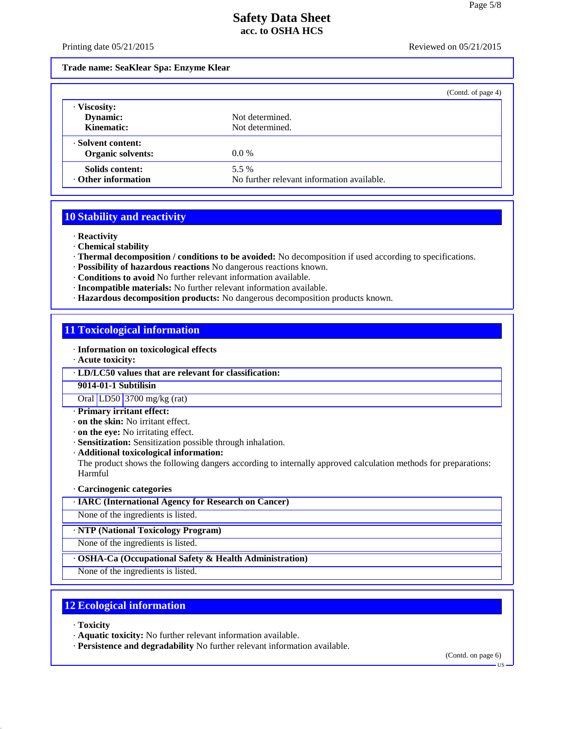Printing date  $05/21/2015$  Reviewed on  $05/21/2015$ 

#### **Trade name: SeaKlear Spa: Enzyme Klear**

|                                                |                                                     | (Contd. of page 4) |
|------------------------------------------------|-----------------------------------------------------|--------------------|
| · Viscosity:<br>Dynamic:<br>Kinematic:         | Not determined.<br>Not determined.                  |                    |
| · Solvent content:<br><b>Organic solvents:</b> | $0.0\%$                                             |                    |
| Solids content:<br><b>· Other information</b>  | 5.5 %<br>No further relevant information available. |                    |

## **10 Stability and reactivity**

· **Reactivity**

- · **Chemical stability**
- · **Thermal decomposition / conditions to be avoided:** No decomposition if used according to specifications.
- · **Possibility of hazardous reactions** No dangerous reactions known.
- · **Conditions to avoid** No further relevant information available.
- · **Incompatible materials:** No further relevant information available.
- · **Hazardous decomposition products:** No dangerous decomposition products known.

## **11 Toxicological information**

- · **Information on toxicological effects**
- · **Acute toxicity:**
- · **LD/LC50 values that are relevant for classification:**

#### **9014-01-1 Subtilisin**

Oral LD50 3700 mg/kg (rat)

- · **Primary irritant effect:**
- · **on the skin:** No irritant effect.
- · **on the eye:** No irritating effect.
- · **Sensitization:** Sensitization possible through inhalation.
- · **Additional toxicological information:**

The product shows the following dangers according to internally approved calculation methods for preparations: Harmful

#### · **Carcinogenic categories**

- · **IARC (International Agency for Research on Cancer)**
- None of the ingredients is listed.

· **NTP (National Toxicology Program)**

None of the ingredients is listed.

#### · **OSHA-Ca (Occupational Safety & Health Administration)**

None of the ingredients is listed.

## **12 Ecological information**

· **Toxicity**

40.2.7

- · **Aquatic toxicity:** No further relevant information available.
- · **Persistence and degradability** No further relevant information available.

(Contd. on page 6)

US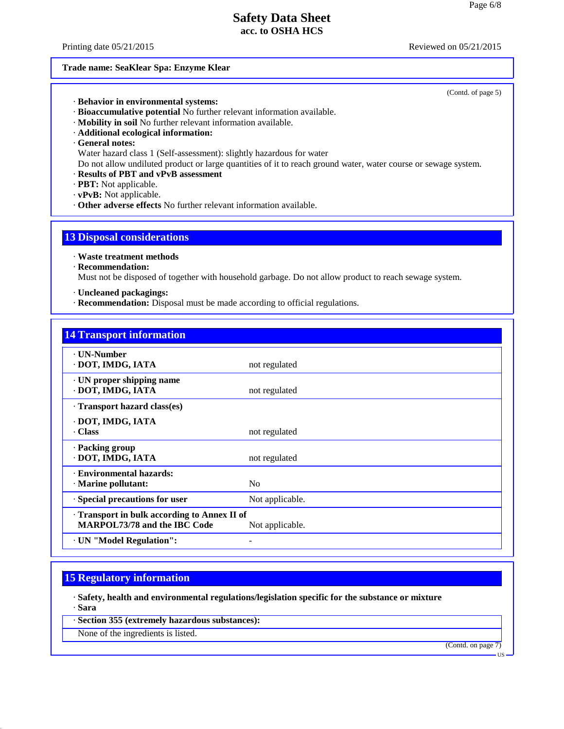Printing date  $0.05/21/2015$  Reviewed on  $0.05/21/2015$ 

#### **Trade name: SeaKlear Spa: Enzyme Klear**

(Contd. of page 5)

- · **Behavior in environmental systems:**
- · **Bioaccumulative potential** No further relevant information available.
- · **Mobility in soil** No further relevant information available.
- · **Additional ecological information:**
- · **General notes:**

Water hazard class 1 (Self-assessment): slightly hazardous for water

- Do not allow undiluted product or large quantities of it to reach ground water, water course or sewage system.
- · **Results of PBT and vPvB assessment**
- · **PBT:** Not applicable.
- · **vPvB:** Not applicable.
- · **Other adverse effects** No further relevant information available.

#### **13 Disposal considerations**

- · **Waste treatment methods**
- · **Recommendation:**

Must not be disposed of together with household garbage. Do not allow product to reach sewage system.

- · **Uncleaned packagings:**
- · **Recommendation:** Disposal must be made according to official regulations.

| <b>14 Transport information</b>                                                   |                 |
|-----------------------------------------------------------------------------------|-----------------|
| <b>· UN-Number</b><br>· DOT, IMDG, IATA                                           | not regulated   |
| · UN proper shipping name<br>· DOT, IMDG, IATA                                    | not regulated   |
| Transport hazard class(es)                                                        |                 |
| · DOT, IMDG, IATA<br>Class                                                        | not regulated   |
| · Packing group<br>· DOT, IMDG, IATA                                              | not regulated   |
| · Environmental hazards:<br>· Marine pollutant:                                   | N <sub>0</sub>  |
| · Special precautions for user                                                    | Not applicable. |
| Transport in bulk according to Annex II of<br><b>MARPOL73/78 and the IBC Code</b> | Not applicable. |
| · UN "Model Regulation":                                                          |                 |

## **15 Regulatory information**

· **Safety, health and environmental regulations/legislation specific for the substance or mixture** · **Sara**

· **Section 355 (extremely hazardous substances):**

None of the ingredients is listed.

40.2.7

(Contd. on page 7)

US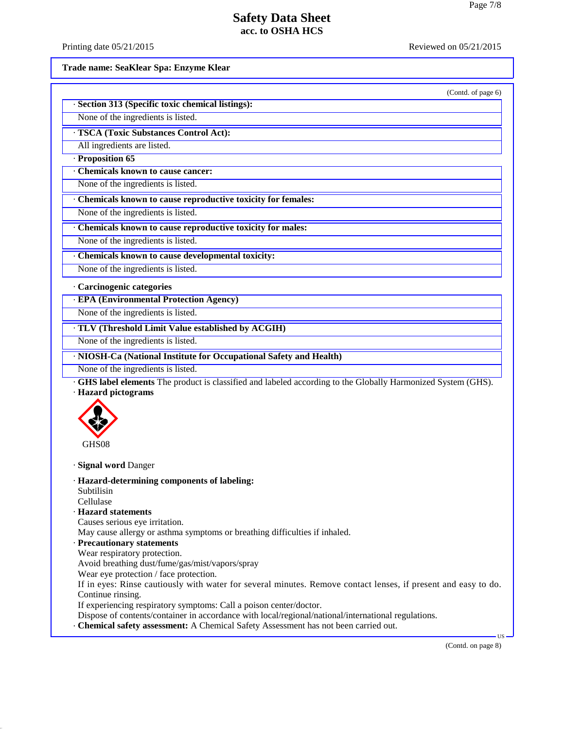Printing date  $05/21/2015$  Reviewed on  $05/21/2015$ 

**Trade name: SeaKlear Spa: Enzyme Klear**

(Contd. of page 6)

| · Section 313 (Specific toxic chemical listings): |
|---------------------------------------------------|
| None of the ingredients is listed.                |

· **TSCA (Toxic Substances Control Act):**

All ingredients are listed.

· **Proposition 65**

· **Chemicals known to cause cancer:**

None of the ingredients is listed.

· **Chemicals known to cause reproductive toxicity for females:**

None of the ingredients is listed.

· **Chemicals known to cause reproductive toxicity for males:**

None of the ingredients is listed.

· **Chemicals known to cause developmental toxicity:**

None of the ingredients is listed.

· **Carcinogenic categories**

· **EPA (Environmental Protection Agency)**

None of the ingredients is listed.

· **TLV (Threshold Limit Value established by ACGIH)**

None of the ingredients is listed.

· **NIOSH-Ca (National Institute for Occupational Safety and Health)**

None of the ingredients is listed.

· **GHS label elements** The product is classified and labeled according to the Globally Harmonized System (GHS). · **Hazard pictograms**



· **Signal word** Danger

· **Hazard-determining components of labeling:**

Subtilisin

Cellulase

40.2.7

· **Hazard statements**

Causes serious eye irritation.

May cause allergy or asthma symptoms or breathing difficulties if inhaled.

· **Precautionary statements**

Wear respiratory protection.

Avoid breathing dust/fume/gas/mist/vapors/spray

Wear eye protection / face protection.

If in eyes: Rinse cautiously with water for several minutes. Remove contact lenses, if present and easy to do. Continue rinsing.

If experiencing respiratory symptoms: Call a poison center/doctor.

Dispose of contents/container in accordance with local/regional/national/international regulations.

· **Chemical safety assessment:** A Chemical Safety Assessment has not been carried out.

(Contd. on page 8)

 $\overline{\mathbf{u}}$   $\overline{\mathbf{v}}$